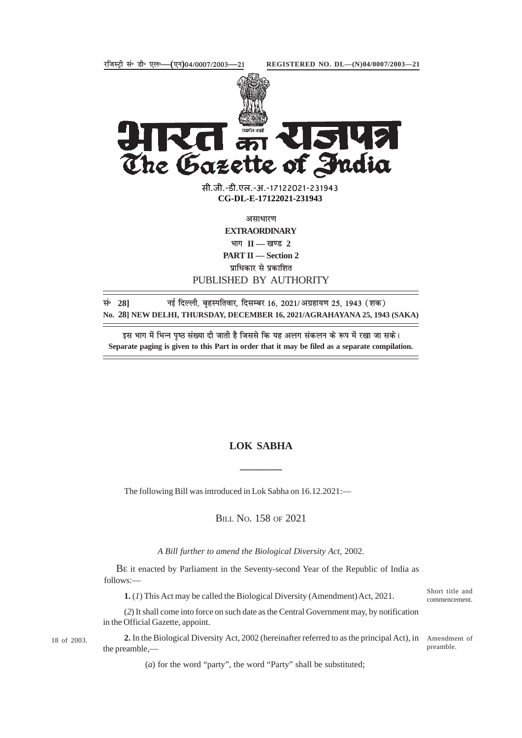

15142 The Gazette of India

> सी.जी.-डी.एल.-अ.-17122021-231943<br>———————————————————— **CG-DL-E-17122021-231943**

> > असाधारण

**EXTRAORDINARY**

भाग II — खण्ड 2

**PART II — Section 2** प्राधिकार से प्रकाशित

PUBLISHED BY AUTHORITY

सं<sup>6</sup> 28] नई दिल्ली, बृहस्पतिवार, दिसम्बर 16, 2021/अग्रहायण 25, 1943 (शक) **No. 28] NEW DELHI, THURSDAY, DECEMBER 16, 2021/AGRAHAYANA 25, 1943 (SAKA)**

इस भाग में भिन्न पष्ठ संख्या दी जाती है जिससे कि यह अलग संकलन के रूप में रखा जा सके। **Separate paging is given to this Part in order that it may be filed as a separate compilation.**

# **LOK SABHA**

**————**

The following Bill was introduced in Lok Sabha on 16.12.2021:—

BILL NO. 158 OF 2021

*A Bill further to amend the Biological Diversity Act,* 2002.

BE it enacted by Parliament in the Seventy-second Year of the Republic of India as follows:—

**1.** (*1*) This Act may be called the Biological Diversity (Amendment) Act, 2021.

Short title and commencement.

(*2*) It shall come into force on such date as the Central Government may, by notification in the Official Gazette, appoint.

18 of 2003.

2. In the Biological Diversity Act, 2002 (hereinafter referred to as the principal Act), in Amendment of the preamble, preamble.

(*a*) for the word "party", the word "Party" shall be substituted;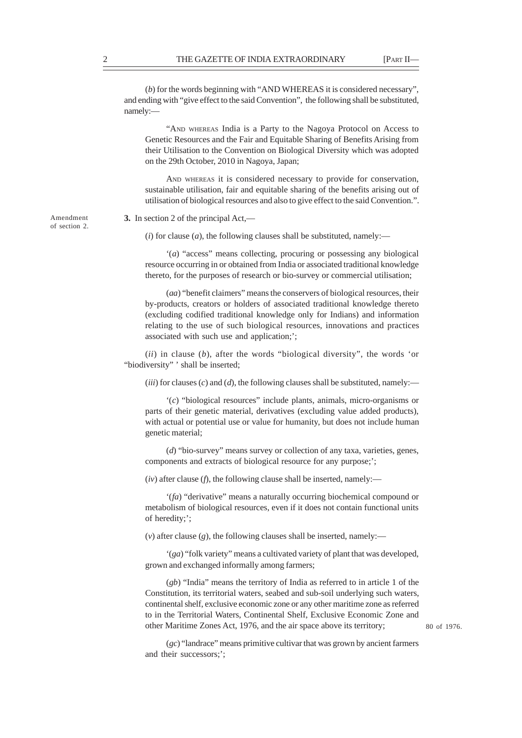(*b*) for the words beginning with "AND WHEREAS it is considered necessary", and ending with "give effect to the said Convention", the following shall be substituted, namely:—

"AND WHEREAS India is a Party to the Nagoya Protocol on Access to Genetic Resources and the Fair and Equitable Sharing of Benefits Arising from their Utilisation to the Convention on Biological Diversity which was adopted on the 29th October, 2010 in Nagoya, Japan;

AND WHEREAS it is considered necessary to provide for conservation, sustainable utilisation, fair and equitable sharing of the benefits arising out of utilisation of biological resources and also to give effect to the said Convention.".

**3.** In section 2 of the principal Act,—

 $(i)$  for clause  $(a)$ , the following clauses shall be substituted, namely:—

'(*a*) "access" means collecting, procuring or possessing any biological resource occurring in or obtained from India or associated traditional knowledge thereto, for the purposes of research or bio-survey or commercial utilisation;

(*aa*) "benefit claimers" means the conservers of biological resources, their by-products, creators or holders of associated traditional knowledge thereto (excluding codified traditional knowledge only for Indians) and information relating to the use of such biological resources, innovations and practices associated with such use and application;';

(*ii*) in clause (*b*), after the words "biological diversity", the words 'or "biodiversity" ' shall be inserted;

 $(iii)$  for clauses  $(c)$  and  $(d)$ , the following clauses shall be substituted, namely:

'(*c*) "biological resources" include plants, animals, micro-organisms or parts of their genetic material, derivatives (excluding value added products), with actual or potential use or value for humanity, but does not include human genetic material;

(*d*) "bio-survey" means survey or collection of any taxa, varieties, genes, components and extracts of biological resource for any purpose;';

(*iv*) after clause (*f*), the following clause shall be inserted, namely:—

'(*fa*) "derivative" means a naturally occurring biochemical compound or metabolism of biological resources, even if it does not contain functional units of heredity;';

 $(v)$  after clause  $(g)$ , the following clauses shall be inserted, namely:—

'(*ga*) "folk variety" means a cultivated variety of plant that was developed, grown and exchanged informally among farmers;

(*gb*) "India" means the territory of India as referred to in article 1 of the Constitution, its territorial waters, seabed and sub-soil underlying such waters, continental shelf, exclusive economic zone or any other maritime zone as referred to in the Territorial Waters, Continental Shelf, Exclusive Economic Zone and other Maritime Zones Act, 1976, and the air space above its territory;

80 of 1976.

(*gc*) "landrace" means primitive cultivar that was grown by ancient farmers and their successors;';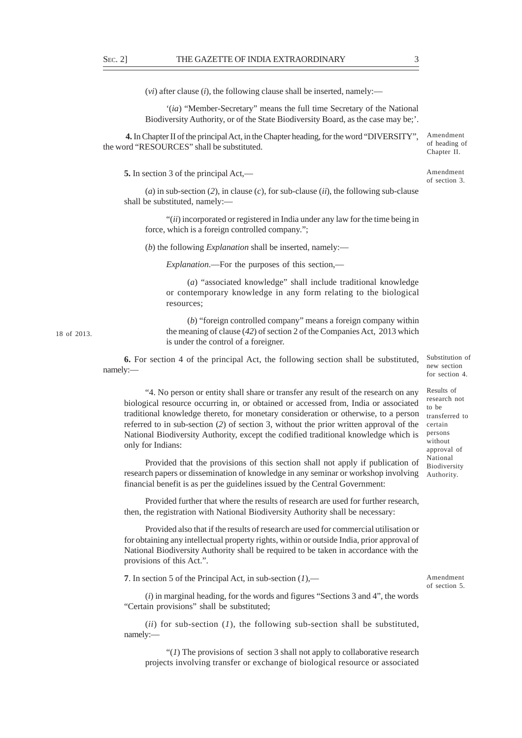(*vi*) after clause (*i*), the following clause shall be inserted, namely:—

'(*ia*) "Member-Secretary" means the full time Secretary of the National Biodiversity Authority, or of the State Biodiversity Board, as the case may be;'.

 **4.** In Chapter II of the principal Act, in the Chapter heading, for the word "DIVERSITY", the word "RESOURCES" shall be substituted.

**5.** In section 3 of the principal Act,—

(*a*) in sub-section (*2*), in clause (*c*), for sub-clause (*ii*), the following sub-clause shall be substituted, namely:—

"(*ii*) incorporated or registered in India under any law for the time being in force, which is a foreign controlled company.";

(*b*) the following *Explanation* shall be inserted, namely:—

*Explanation*.—For the purposes of this section,—

(*a*) "associated knowledge" shall include traditional knowledge or contemporary knowledge in any form relating to the biological resources;

(*b*) "foreign controlled company" means a foreign company within the meaning of clause (*42*) of section 2 of the Companies Act, 2013 which is under the control of a foreigner.

**6.** For section 4 of the principal Act, the following section shall be substituted, namely:—

"4. No person or entity shall share or transfer any result of the research on any biological resource occurring in, or obtained or accessed from, India or associated traditional knowledge thereto, for monetary consideration or otherwise, to a person referred to in sub-section (*2*) of section 3, without the prior written approval of the National Biodiversity Authority, except the codified traditional knowledge which is only for Indians:

Provided that the provisions of this section shall not apply if publication of research papers or dissemination of knowledge in any seminar or workshop involving financial benefit is as per the guidelines issued by the Central Government:

Provided further that where the results of research are used for further research, then, the registration with National Biodiversity Authority shall be necessary:

Provided also that if the results of research are used for commercial utilisation or for obtaining any intellectual property rights, within or outside India, prior approval of National Biodiversity Authority shall be required to be taken in accordance with the provisions of this Act.".

**7**. In section 5 of the Principal Act, in sub-section (*1*),—

Amendment of section 5.

(*i*) in marginal heading, for the words and figures "Sections 3 and 4", the words "Certain provisions" shall be substituted;

(*ii*) for sub-section (*1*), the following sub-section shall be substituted, namely:—

" $(1)$  The provisions of section 3 shall not apply to collaborative research projects involving transfer or exchange of biological resource or associated

18 of 2013.

Substitution of new section for section 4.

Results of research not to be transferred to certain persons without approval of National Biodiversity Authority.

Chapter II.

Amendment of section 3.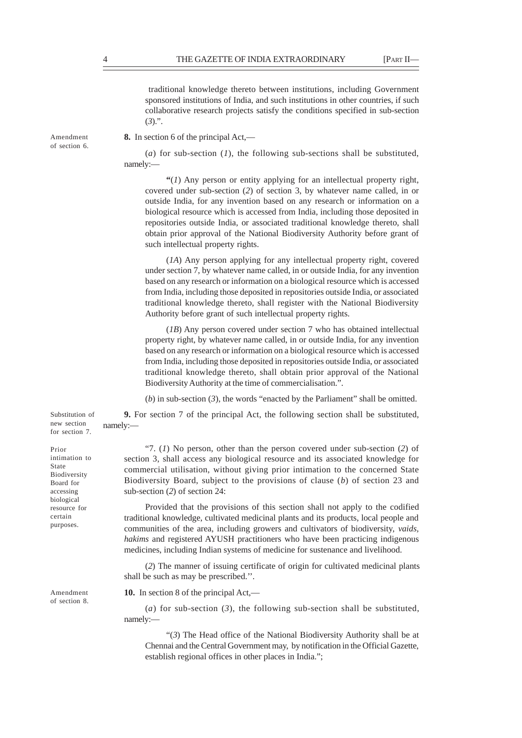traditional knowledge thereto between institutions, including Government sponsored institutions of India, and such institutions in other countries, if such collaborative research projects satisfy the conditions specified in sub-section  $(3)$ .".

Amendment of section 6. **8.** In section 6 of the principal Act,—

(*a*) for sub-section (*1*), the following sub-sections shall be substituted, namely:—

**"**(*1*) Any person or entity applying for an intellectual property right, covered under sub-section (*2*) of section 3, by whatever name called, in or outside India, for any invention based on any research or information on a biological resource which is accessed from India, including those deposited in repositories outside India, or associated traditional knowledge thereto, shall obtain prior approval of the National Biodiversity Authority before grant of such intellectual property rights.

(*1A*) Any person applying for any intellectual property right, covered under section 7, by whatever name called, in or outside India, for any invention based on any research or information on a biological resource which is accessed from India, including those deposited in repositories outside India, or associated traditional knowledge thereto, shall register with the National Biodiversity Authority before grant of such intellectual property rights.

(*1B*) Any person covered under section 7 who has obtained intellectual property right, by whatever name called, in or outside India, for any invention based on any research or information on a biological resource which is accessed from India, including those deposited in repositories outside India, or associated traditional knowledge thereto, shall obtain prior approval of the National Biodiversity Authority at the time of commercialisation.".

(*b*) in sub-section (*3*), the words "enacted by the Parliament" shall be omitted.

**9.** For section 7 of the principal Act, the following section shall be substituted, namely:— Substitution of new section for section 7.

> "7. (*1*) No person, other than the person covered under sub-section (*2*) of section 3, shall access any biological resource and its associated knowledge for commercial utilisation, without giving prior intimation to the concerned State Biodiversity Board, subject to the provisions of clause (*b*) of section 23 and sub-section (*2*) of section 24:

Provided that the provisions of this section shall not apply to the codified traditional knowledge, cultivated medicinal plants and its products, local people and communities of the area, including growers and cultivators of biodiversity, *vaids, hakims* and registered AYUSH practitioners who have been practicing indigenous medicines, including Indian systems of medicine for sustenance and livelihood.

(*2*) The manner of issuing certificate of origin for cultivated medicinal plants shall be such as may be prescribed.''.

**10.** In section 8 of the principal Act,—

(*a*) for sub-section (*3*), the following sub-section shall be substituted, namely:—

"(*3*) The Head office of the National Biodiversity Authority shall be at Chennai and the Central Government may, by notification in the Official Gazette, establish regional offices in other places in India.";

Prior intimation to State

Biodiversity Board for accessing biological resource for certain purposes.

Amendment of section 8.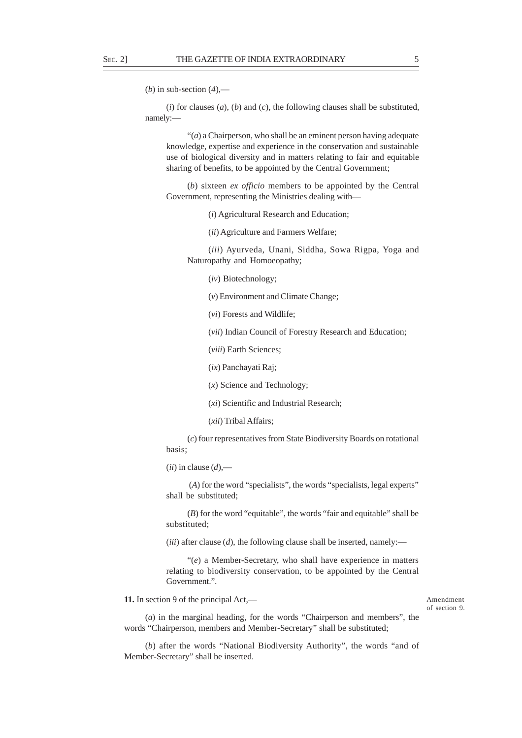(*b*) in sub-section (*4*),—

(*i*) for clauses (*a*), (*b*) and (*c*), the following clauses shall be substituted, namely:—

"(*a*) a Chairperson, who shall be an eminent person having adequate knowledge, expertise and experience in the conservation and sustainable use of biological diversity and in matters relating to fair and equitable sharing of benefits, to be appointed by the Central Government;

(*b*) sixteen *ex officio* members to be appointed by the Central Government, representing the Ministries dealing with—

(*i*) Agricultural Research and Education;

(*ii*) Agriculture and Farmers Welfare;

(*iii*) Ayurveda, Unani, Siddha, Sowa Rigpa, Yoga and Naturopathy and Homoeopathy;

(*iv*) Biotechnology;

(*v*) Environment and Climate Change;

(*vi*) Forests and Wildlife;

(*vii*) Indian Council of Forestry Research and Education;

(*viii*) Earth Sciences;

(*ix*) Panchayati Raj;

(*x*) Science and Technology;

(*xi*) Scientific and Industrial Research;

(*xii*) Tribal Affairs;

(*c*) four representatives from State Biodiversity Boards on rotational basis;

 $(iii)$  in clause  $(d)$ .—

 (*A*) for the word "specialists", the words "specialists, legal experts" shall be substituted;

(*B*) for the word "equitable", the words "fair and equitable" shall be substituted;

 $(iii)$  after clause  $(d)$ , the following clause shall be inserted, namely:—

"(*e*) a Member-Secretary, who shall have experience in matters relating to biodiversity conservation, to be appointed by the Central Government.".

**11.** In section 9 of the principal Act,—

#### Amendment of section 9.

(*a*) in the marginal heading, for the words "Chairperson and members", the words "Chairperson, members and Member-Secretary" shall be substituted;

(*b*) after the words "National Biodiversity Authority", the words "and of Member-Secretary" shall be inserted.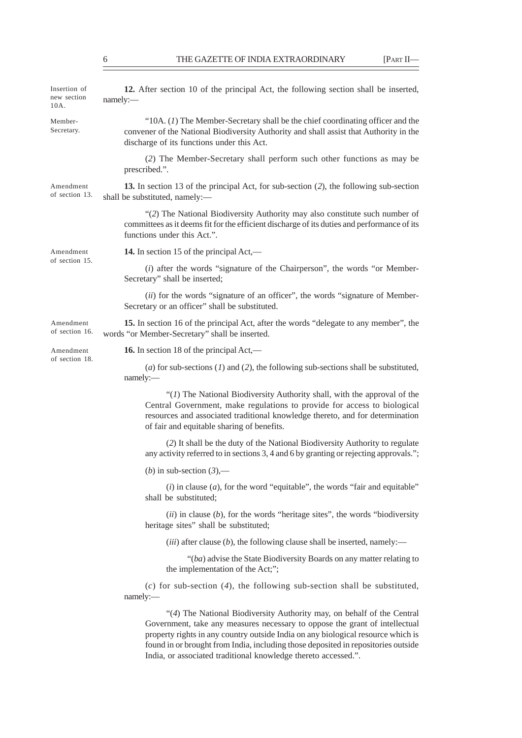| Insertion of<br>new section<br>10A. | 12. After section 10 of the principal Act, the following section shall be inserted,<br>namely:-                                                                                                                                                                                                                                                                                                  |
|-------------------------------------|--------------------------------------------------------------------------------------------------------------------------------------------------------------------------------------------------------------------------------------------------------------------------------------------------------------------------------------------------------------------------------------------------|
| Member-<br>Secretary.               | " $10A$ . (1) The Member-Secretary shall be the chief coordinating officer and the<br>convener of the National Biodiversity Authority and shall assist that Authority in the<br>discharge of its functions under this Act.                                                                                                                                                                       |
|                                     | (2) The Member-Secretary shall perform such other functions as may be<br>prescribed.".                                                                                                                                                                                                                                                                                                           |
| Amendment<br>of section 13.         | 13. In section 13 of the principal Act, for sub-section (2), the following sub-section<br>shall be substituted, namely:-                                                                                                                                                                                                                                                                         |
|                                     | "(2) The National Biodiversity Authority may also constitute such number of<br>committees as it deems fit for the efficient discharge of its duties and performance of its<br>functions under this Act.".                                                                                                                                                                                        |
| Amendment<br>of section 15.         | 14. In section 15 of the principal Act,—                                                                                                                                                                                                                                                                                                                                                         |
|                                     | $(i)$ after the words "signature of the Chairperson", the words "or Member-<br>Secretary" shall be inserted;                                                                                                                                                                                                                                                                                     |
|                                     | (ii) for the words "signature of an officer", the words "signature of Member-<br>Secretary or an officer" shall be substituted.                                                                                                                                                                                                                                                                  |
| Amendment<br>of section 16.         | 15. In section 16 of the principal Act, after the words "delegate to any member", the<br>words "or Member-Secretary" shall be inserted.                                                                                                                                                                                                                                                          |
| Amendment<br>of section 18.         | <b>16.</b> In section 18 of the principal Act,—                                                                                                                                                                                                                                                                                                                                                  |
|                                     | (a) for sub-sections $(1)$ and $(2)$ , the following sub-sections shall be substituted,<br>namely:-                                                                                                                                                                                                                                                                                              |
|                                     | " $(I)$ The National Biodiversity Authority shall, with the approval of the<br>Central Government, make regulations to provide for access to biological<br>resources and associated traditional knowledge thereto, and for determination<br>of fair and equitable sharing of benefits.                                                                                                           |
|                                     | (2) It shall be the duty of the National Biodiversity Authority to regulate<br>any activity referred to in sections 3, 4 and 6 by granting or rejecting approvals.";                                                                                                                                                                                                                             |
|                                     | ( <i>b</i> ) in sub-section $(3)$ ,—                                                                                                                                                                                                                                                                                                                                                             |
|                                     | $(i)$ in clause $(a)$ , for the word "equitable", the words "fair and equitable"<br>shall be substituted;                                                                                                                                                                                                                                                                                        |
|                                     | $(ii)$ in clause $(b)$ , for the words "heritage sites", the words "biodiversity<br>heritage sites" shall be substituted;                                                                                                                                                                                                                                                                        |
|                                     | (iii) after clause $(b)$ , the following clause shall be inserted, namely:—                                                                                                                                                                                                                                                                                                                      |
|                                     | "(ba) advise the State Biodiversity Boards on any matter relating to<br>the implementation of the Act;";                                                                                                                                                                                                                                                                                         |
|                                     | $(c)$ for sub-section (4), the following sub-section shall be substituted,<br>namely:                                                                                                                                                                                                                                                                                                            |
|                                     | "(4) The National Biodiversity Authority may, on behalf of the Central<br>Government, take any measures necessary to oppose the grant of intellectual<br>property rights in any country outside India on any biological resource which is<br>found in or brought from India, including those deposited in repositories outside<br>India, or associated traditional knowledge thereto accessed.". |
|                                     |                                                                                                                                                                                                                                                                                                                                                                                                  |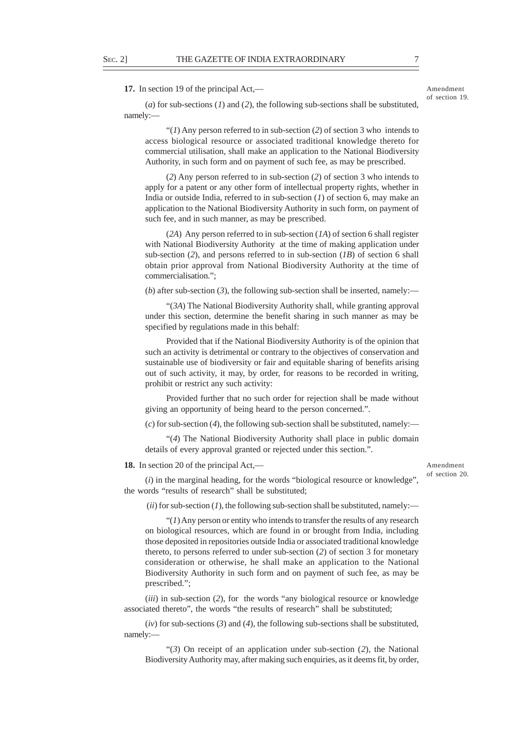**17.** In section 19 of the principal Act,—

Amendment of section 19.

(*a*) for sub-sections (*1*) and (*2*), the following sub-sections shall be substituted, namely:—

"(*1*) Any person referred to in sub-section (*2*) of section 3 who intends to access biological resource or associated traditional knowledge thereto for commercial utilisation, shall make an application to the National Biodiversity Authority, in such form and on payment of such fee, as may be prescribed.

(*2*) Any person referred to in sub-section (*2*) of section 3 who intends to apply for a patent or any other form of intellectual property rights, whether in India or outside India, referred to in sub-section (*1*) of section 6, may make an application to the National Biodiversity Authority in such form, on payment of such fee, and in such manner, as may be prescribed.

(*2A*) Any person referred to in sub-section (*1A*) of section 6 shall register with National Biodiversity Authority at the time of making application under sub-section (*2*), and persons referred to in sub-section (*1B*) of section 6 shall obtain prior approval from National Biodiversity Authority at the time of commercialisation.";

(*b*) after sub-section (*3*), the following sub-section shall be inserted, namely:—

"(*3A*) The National Biodiversity Authority shall, while granting approval under this section, determine the benefit sharing in such manner as may be specified by regulations made in this behalf:

Provided that if the National Biodiversity Authority is of the opinion that such an activity is detrimental or contrary to the objectives of conservation and sustainable use of biodiversity or fair and equitable sharing of benefits arising out of such activity, it may, by order, for reasons to be recorded in writing, prohibit or restrict any such activity:

Provided further that no such order for rejection shall be made without giving an opportunity of being heard to the person concerned.".

(*c*) for sub-section (*4*), the following sub-section shall be substituted, namely:—

"(*4*) The National Biodiversity Authority shall place in public domain details of every approval granted or rejected under this section.".

### **18.** In section 20 of the principal Act,—

Amendment of section 20.

(*i*) in the marginal heading, for the words "biological resource or knowledge", the words "results of research" shall be substituted;

 $(iii)$  for sub-section  $(I)$ , the following sub-section shall be substituted, namely:—

"(*1*) Any person or entity who intends to transfer the results of any research on biological resources, which are found in or brought from India, including those deposited in repositories outside India or associated traditional knowledge thereto, to persons referred to under sub-section (*2*) of section 3 for monetary consideration or otherwise, he shall make an application to the National Biodiversity Authority in such form and on payment of such fee, as may be prescribed.";

(*iii*) in sub-section (*2*), for the words "any biological resource or knowledge associated thereto", the words "the results of research" shall be substituted;

(*iv*) for sub-sections (*3*) and (*4*), the following sub-sections shall be substituted, namely:—

"(*3*) On receipt of an application under sub-section (*2*), the National Biodiversity Authority may, after making such enquiries, as it deems fit, by order,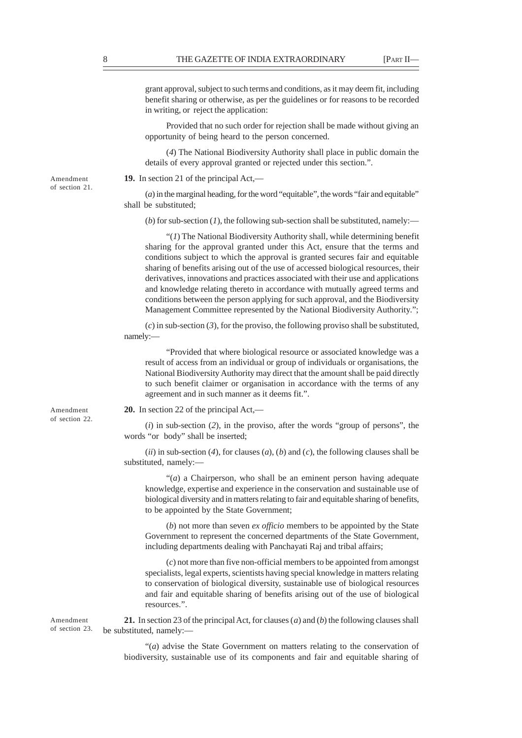grant approval, subject to such terms and conditions, as it may deem fit, including benefit sharing or otherwise, as per the guidelines or for reasons to be recorded in writing, or reject the application:

Provided that no such order for rejection shall be made without giving an opportunity of being heard to the person concerned.

(*4*) The National Biodiversity Authority shall place in public domain the details of every approval granted or rejected under this section.".

**19.** In section 21 of the principal Act,—

(*a*) in the marginal heading, for the word "equitable", the words "fair and equitable" shall be substituted;

(*b*) for sub-section (*l*), the following sub-section shall be substituted, namely:—

"(*1*) The National Biodiversity Authority shall, while determining benefit sharing for the approval granted under this Act, ensure that the terms and conditions subject to which the approval is granted secures fair and equitable sharing of benefits arising out of the use of accessed biological resources, their derivatives, innovations and practices associated with their use and applications and knowledge relating thereto in accordance with mutually agreed terms and conditions between the person applying for such approval, and the Biodiversity Management Committee represented by the National Biodiversity Authority.";

(*c*) in sub-section (*3*), for the proviso, the following proviso shall be substituted, namely:—

"Provided that where biological resource or associated knowledge was a result of access from an individual or group of individuals or organisations, the National Biodiversity Authority may direct that the amount shall be paid directly to such benefit claimer or organisation in accordance with the terms of any agreement and in such manner as it deems fit.".

**20.** In section 22 of the principal Act,—

(*i*) in sub-section (*2*), in the proviso, after the words "group of persons", the words "or body" shall be inserted;

(*ii*) in sub-section (*4*), for clauses (*a*), (*b*) and (*c*), the following clauses shall be substituted, namely:—

"(*a*) a Chairperson, who shall be an eminent person having adequate knowledge, expertise and experience in the conservation and sustainable use of biological diversity and in matters relating to fair and equitable sharing of benefits, to be appointed by the State Government;

(*b*) not more than seven *ex officio* members to be appointed by the State Government to represent the concerned departments of the State Government, including departments dealing with Panchayati Raj and tribal affairs;

(*c*) not more than five non-official members to be appointed from amongst specialists, legal experts, scientists having special knowledge in matters relating to conservation of biological diversity, sustainable use of biological resources and fair and equitable sharing of benefits arising out of the use of biological resources.".

**21.** In section 23 of the principal Act, for clauses (*a*) and (*b*) the following clauses shall be substituted, namely:—

"(*a*) advise the State Government on matters relating to the conservation of biodiversity, sustainable use of its components and fair and equitable sharing of

Amendment of section 21.

Amendment of section 22.

Amendment of section 23.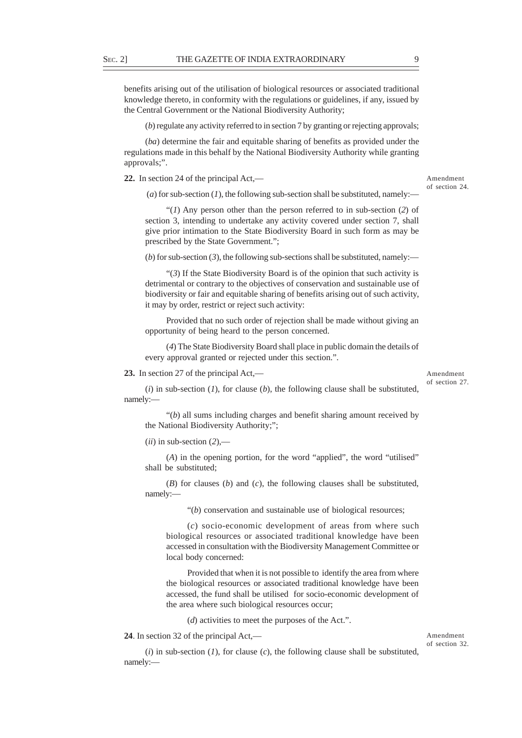benefits arising out of the utilisation of biological resources or associated traditional knowledge thereto, in conformity with the regulations or guidelines, if any, issued by the Central Government or the National Biodiversity Authority;

(*b*) regulate any activity referred to in section 7 by granting or rejecting approvals;

(*ba*) determine the fair and equitable sharing of benefits as provided under the regulations made in this behalf by the National Biodiversity Authority while granting approvals;".

**22.** In section 24 of the principal Act,—

Amendment of section 24.

(*a*) for sub-section (*1*), the following sub-section shall be substituted, namely:-

"(*1*) Any person other than the person referred to in sub-section (*2*) of section 3, intending to undertake any activity covered under section 7, shall give prior intimation to the State Biodiversity Board in such form as may be prescribed by the State Government.";

(*b*) for sub-section (3), the following sub-sections shall be substituted, namely:—

"(*3*) If the State Biodiversity Board is of the opinion that such activity is detrimental or contrary to the objectives of conservation and sustainable use of biodiversity or fair and equitable sharing of benefits arising out of such activity, it may by order, restrict or reject such activity:

Provided that no such order of rejection shall be made without giving an opportunity of being heard to the person concerned.

(*4*) The State Biodiversity Board shall place in public domain the details of every approval granted or rejected under this section.".

**23.** In section 27 of the principal Act,—

Amendment of section 27.

 $(i)$  in sub-section  $(I)$ , for clause  $(b)$ , the following clause shall be substituted, namely:—

"(*b*) all sums including charges and benefit sharing amount received by the National Biodiversity Authority;";

 $(iii)$  in sub-section  $(2)$ ,—

(*A*) in the opening portion, for the word "applied", the word "utilised" shall be substituted;

(*B*) for clauses (*b*) and (*c*), the following clauses shall be substituted, namely:—

"(*b*) conservation and sustainable use of biological resources;

(*c*) socio-economic development of areas from where such biological resources or associated traditional knowledge have been accessed in consultation with the Biodiversity Management Committee or local body concerned:

Provided that when it is not possible to identify the area from where the biological resources or associated traditional knowledge have been accessed, the fund shall be utilised for socio-economic development of the area where such biological resources occur;

(*d*) activities to meet the purposes of the Act.".

(*i*) in sub-section (*1*), for clause (*c*), the following clause shall be substituted,

**24**. In section 32 of the principal Act,—

namely:—

Amendment of section 32.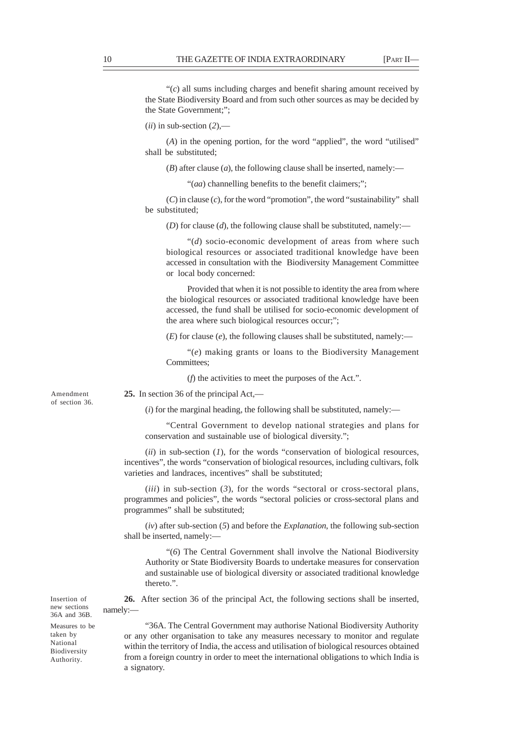"(*c*) all sums including charges and benefit sharing amount received by the State Biodiversity Board and from such other sources as may be decided by the State Government;";

 $(iii)$  in sub-section  $(2)$ ,—

(*A*) in the opening portion, for the word "applied", the word "utilised" shall be substituted;

 $(B)$  after clause  $(a)$ , the following clause shall be inserted, namely:—

"(*aa*) channelling benefits to the benefit claimers;";

(*C*) in clause (*c*), for the word "promotion", the word "sustainability" shall be substituted;

(*D*) for clause (*d*), the following clause shall be substituted, namely:—

"(*d*) socio-economic development of areas from where such biological resources or associated traditional knowledge have been accessed in consultation with the Biodiversity Management Committee or local body concerned:

Provided that when it is not possible to identity the area from where the biological resources or associated traditional knowledge have been accessed, the fund shall be utilised for socio-economic development of the area where such biological resources occur;";

(*E*) for clause (*e*), the following clauses shall be substituted, namely:—

"(*e*) making grants or loans to the Biodiversity Management Committees;

(*f*) the activities to meet the purposes of the Act.".

Amendment of section 36. **25.** In section 36 of the principal Act,— (*i*) for the marginal heading, the following shall be substituted, namely:—

conservation and sustainable use of biological diversity.";

"Central Government to develop national strategies and plans for

(*ii*) in sub-section (*1*), for the words "conservation of biological resources, incentives", the words "conservation of biological resources, including cultivars, folk varieties and landraces, incentives" shall be substituted;

(*iii*) in sub-section (*3*), for the words "sectoral or cross-sectoral plans, programmes and policies", the words "sectoral policies or cross-sectoral plans and programmes" shall be substituted;

(*iv*) after sub-section (*5*) and before the *Explanation*, the following sub-section shall be inserted, namely:—

"(*6*) The Central Government shall involve the National Biodiversity Authority or State Biodiversity Boards to undertake measures for conservation and sustainable use of biological diversity or associated traditional knowledge thereto.".

**26.** After section 36 of the principal Act, the following sections shall be inserted, namely:—

Insertion of new sections 36A and 36B.

Measures to be taken by National Biodiversity Authority.

"36A. The Central Government may authorise National Biodiversity Authority or any other organisation to take any measures necessary to monitor and regulate within the territory of India, the access and utilisation of biological resources obtained from a foreign country in order to meet the international obligations to which India is a signatory.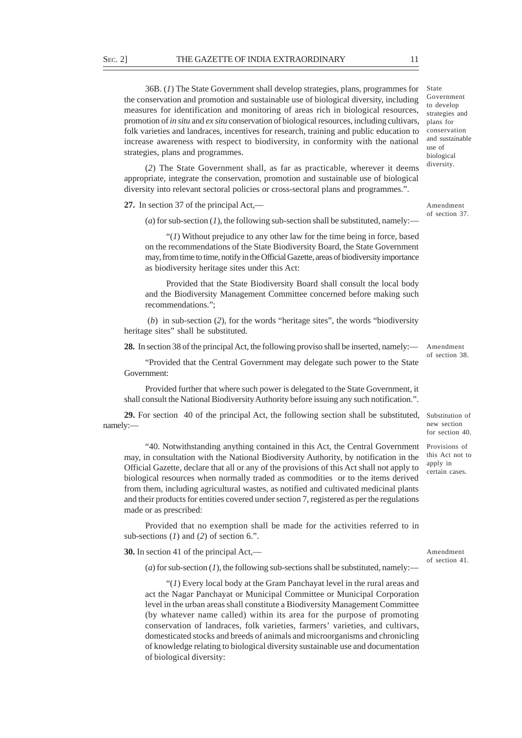36B. (*1*) The State Government shall develop strategies, plans, programmes for the conservation and promotion and sustainable use of biological diversity, including measures for identification and monitoring of areas rich in biological resources, promotion of *in situ* and *ex situ* conservation of biological resources, including cultivars, folk varieties and landraces, incentives for research, training and public education to increase awareness with respect to biodiversity, in conformity with the national strategies, plans and programmes.

(*2*) The State Government shall, as far as practicable, wherever it deems appropriate, integrate the conservation, promotion and sustainable use of biological diversity into relevant sectoral policies or cross-sectoral plans and programmes.".

**27.** In section 37 of the principal Act,—

(*a*) for sub-section (*1*), the following sub-section shall be substituted, namely:—

"(*1*) Without prejudice to any other law for the time being in force, based on the recommendations of the State Biodiversity Board, the State Government may, from time to time, notify in the Official Gazette, areas of biodiversity importance as biodiversity heritage sites under this Act:

Provided that the State Biodiversity Board shall consult the local body and the Biodiversity Management Committee concerned before making such recommendations.";

 (*b*) in sub-section (*2*), for the words "heritage sites", the words "biodiversity heritage sites" shall be substituted.

**28.** In section 38 of the principal Act, the following proviso shall be inserted, namely:—

"Provided that the Central Government may delegate such power to the State Government:

Provided further that where such power is delegated to the State Government, it shall consult the National Biodiversity Authority before issuing any such notification.".

29. For section 40 of the principal Act, the following section shall be substituted, Substitution of namely:—

"40. Notwithstanding anything contained in this Act, the Central Government Provisions of may, in consultation with the National Biodiversity Authority, by notification in the Official Gazette, declare that all or any of the provisions of this Act shall not apply to biological resources when normally traded as commodities or to the items derived from them, including agricultural wastes, as notified and cultivated medicinal plants and their products for entities covered under section 7, registered as per the regulations made or as prescribed:

Provided that no exemption shall be made for the activities referred to in sub-sections (*1*) and (*2*) of section 6.".

**30.** In section 41 of the principal Act,—

(*a*) for sub-section (*1*), the following sub-sections shall be substituted, namely:—

"(*1*) Every local body at the Gram Panchayat level in the rural areas and act the Nagar Panchayat or Municipal Committee or Municipal Corporation level in the urban areas shall constitute a Biodiversity Management Committee (by whatever name called) within its area for the purpose of promoting conservation of landraces, folk varieties, farmers' varieties, and cultivars, domesticated stocks and breeds of animals and microorganisms and chronicling of knowledge relating to biological diversity sustainable use and documentation of biological diversity:

this Act not to apply in

new section for section 40.

Amendment of section 38.

Amendment

of section 37.

certain cases.

Amendment of section 41.

State Government to develop strategies and plans for conservation and sustainable use of biological diversity.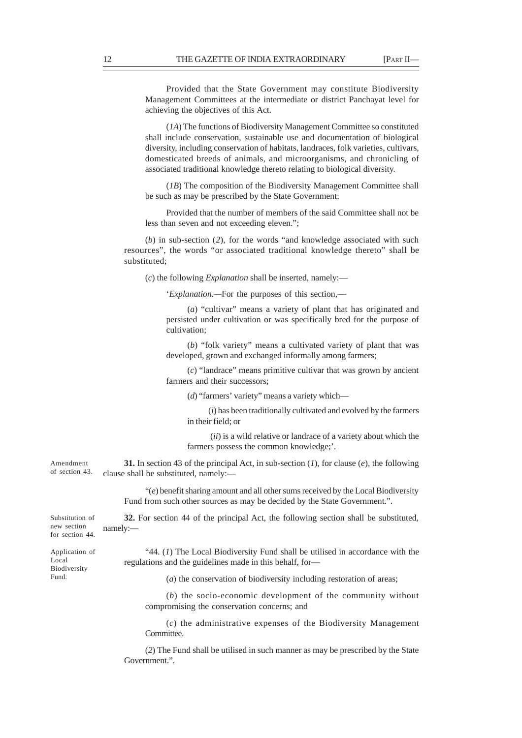Provided that the State Government may constitute Biodiversity Management Committees at the intermediate or district Panchayat level for achieving the objectives of this Act.

(*1A*) The functions of Biodiversity Management Committee so constituted shall include conservation, sustainable use and documentation of biological diversity, including conservation of habitats, landraces, folk varieties, cultivars, domesticated breeds of animals, and microorganisms, and chronicling of associated traditional knowledge thereto relating to biological diversity.

(*1B*) The composition of the Biodiversity Management Committee shall be such as may be prescribed by the State Government:

Provided that the number of members of the said Committee shall not be less than seven and not exceeding eleven.";

(*b*) in sub-section (*2*), for the words "and knowledge associated with such resources", the words "or associated traditional knowledge thereto" shall be substituted;

(*c*) the following *Explanation* shall be inserted, namely:—

'*Explanation.—*For the purposes of this section,—

(*a*) "cultivar" means a variety of plant that has originated and persisted under cultivation or was specifically bred for the purpose of cultivation;

(*b*) "folk variety" means a cultivated variety of plant that was developed, grown and exchanged informally among farmers;

(*c*) "landrace" means primitive cultivar that was grown by ancient farmers and their successors;

(*d*) "farmers' variety" means a variety which—

(*i*) has been traditionally cultivated and evolved by the farmers in their field; or

 (*ii*) is a wild relative or landrace of a variety about which the farmers possess the common knowledge;'.

**31.** In section 43 of the principal Act, in sub-section (*1*), for clause (*e*), the following clause shall be substituted, namely:— Amendment of section 43.

> "(*e*) benefit sharing amount and all other sums received by the Local Biodiversity Fund from such other sources as may be decided by the State Government.".

Substitution of new section for section 44.

**32.** For section 44 of the principal Act, the following section shall be substituted, namely:—

Application of Local Biodiversity Fund.

"44. (*1*) The Local Biodiversity Fund shall be utilised in accordance with the regulations and the guidelines made in this behalf, for—

(*a*) the conservation of biodiversity including restoration of areas;

(*b*) the socio-economic development of the community without compromising the conservation concerns; and

(*c*) the administrative expenses of the Biodiversity Management Committee.

(*2*) The Fund shall be utilised in such manner as may be prescribed by the State Government.".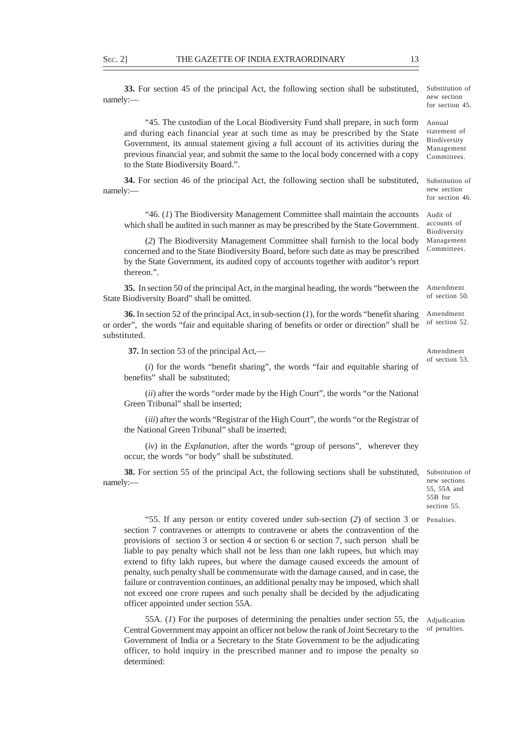**33.** For section 45 of the principal Act, the following section shall be substituted, namely:—

"45. The custodian of the Local Biodiversity Fund shall prepare, in such form and during each financial year at such time as may be prescribed by the State Government, its annual statement giving a full account of its activities during the previous financial year, and submit the same to the local body concerned with a copy to the State Biodiversity Board.".

**34.** For section 46 of the principal Act, the following section shall be substituted, namely:—

"46. (*1*) The Biodiversity Management Committee shall maintain the accounts which shall be audited in such manner as may be prescribed by the State Government.

(*2*) The Biodiversity Management Committee shall furnish to the local body concerned and to the State Biodiversity Board, before such date as may be prescribed by the State Government, its audited copy of accounts together with auditor's report thereon.".

**35.** In section 50 of the principal Act, in the marginal heading, the words "between the State Biodiversity Board" shall be omitted. Amendment

**36.** In section 52 of the principal Act, in sub-section (*1*), for the words "benefit sharing or order", the words "fair and equitable sharing of benefits or order or direction" shall be substituted.

 **37.** In section 53 of the principal Act,—

(*i*) for the words "benefit sharing", the words "fair and equitable sharing of benefits" shall be substituted;

(*ii*) after the words "order made by the High Court", the words "or the National Green Tribunal" shall be inserted;

(*iii*) after the words "Registrar of the High Court", the words "or the Registrar of the National Green Tribunal" shall be inserted;

(*iv*) in the *Explanation*, after the words "group of persons", wherever they occur, the words "or body" shall be substituted.

**38.** For section 55 of the principal Act, the following sections shall be substituted, namely:—

"55. If any person or entity covered under sub-section (*2*) of section 3 or Penalties. section 7 contravenes or attempts to contravene or abets the contravention of the provisions of section 3 or section 4 or section 6 or section 7, such person shall be liable to pay penalty which shall not be less than one lakh rupees, but which may extend to fifty lakh rupees, but where the damage caused exceeds the amount of penalty, such penalty shall be commensurate with the damage caused, and in case, the failure or contravention continues, an additional penalty may be imposed, which shall not exceed one crore rupees and such penalty shall be decided by the adjudicating officer appointed under section 55A.

55A. (*1*) For the purposes of determining the penalties under section 55, the Central Government may appoint an officer not below the rank of Joint Secretary to the Government of India or a Secretary to the State Government to be the adjudicating officer, to hold inquiry in the prescribed manner and to impose the penalty so determined: Adjudication of penalties.

55, 55A and 55B for section 55.

Substitution of new sections

Substitution of new section for section 46.

Audit of accounts of Biodiversity Management Committees.

of section 50.

Amendment of section 52.

Amendment of section 53.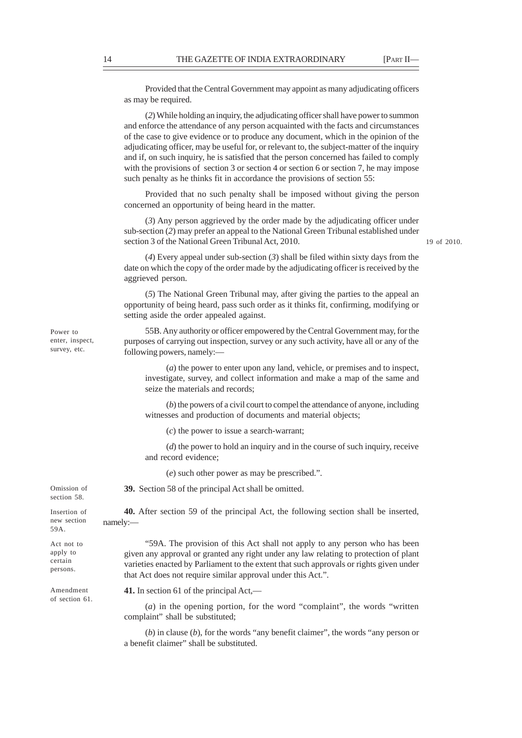Provided that the Central Government may appoint as many adjudicating officers as may be required.

(*2*) While holding an inquiry, the adjudicating officer shall have power to summon and enforce the attendance of any person acquainted with the facts and circumstances of the case to give evidence or to produce any document, which in the opinion of the adjudicating officer, may be useful for, or relevant to, the subject-matter of the inquiry and if, on such inquiry, he is satisfied that the person concerned has failed to comply with the provisions of section 3 or section 4 or section 6 or section 7, he may impose such penalty as he thinks fit in accordance the provisions of section 55:

Provided that no such penalty shall be imposed without giving the person concerned an opportunity of being heard in the matter.

(*3*) Any person aggrieved by the order made by the adjudicating officer under sub-section (*2*) may prefer an appeal to the National Green Tribunal established under section 3 of the National Green Tribunal Act, 2010.

19 of 2010.

(*4*) Every appeal under sub-section (*3*) shall be filed within sixty days from the date on which the copy of the order made by the adjudicating officer is received by the aggrieved person.

(*5*) The National Green Tribunal may, after giving the parties to the appeal an opportunity of being heard, pass such order as it thinks fit, confirming, modifying or setting aside the order appealed against.

55B. Any authority or officer empowered by the Central Government may, for the purposes of carrying out inspection, survey or any such activity, have all or any of the following powers, namely:—

(*a*) the power to enter upon any land, vehicle, or premises and to inspect, investigate, survey, and collect information and make a map of the same and seize the materials and records;

(*b*) the powers of a civil court to compel the attendance of anyone, including witnesses and production of documents and material objects;

(*c*) the power to issue a search-warrant;

(*d*) the power to hold an inquiry and in the course of such inquiry, receive and record evidence;

(*e*) such other power as may be prescribed.".

**39.** Section 58 of the principal Act shall be omitted.

**40.** After section 59 of the principal Act, the following section shall be inserted, namely:—

"59A. The provision of this Act shall not apply to any person who has been given any approval or granted any right under any law relating to protection of plant varieties enacted by Parliament to the extent that such approvals or rights given under that Act does not require similar approval under this Act.".

**41.** In section 61 of the principal Act,—

(*a*) in the opening portion, for the word "complaint", the words "written complaint" shall be substituted;

(*b*) in clause (*b*), for the words "any benefit claimer", the words "any person or a benefit claimer" shall be substituted.

Power to enter, inspect, survey, etc.

Omission of section 58.

Insertion of new section 59A.

Act not to apply to certain persons.

Amendment of section 61.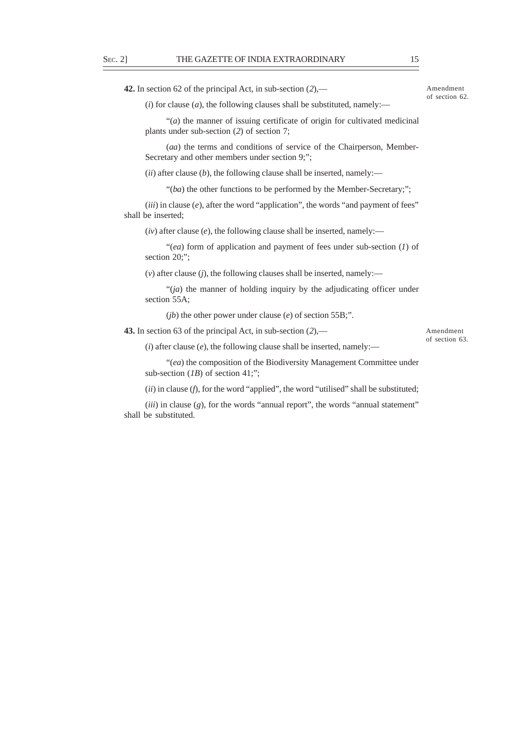**42.** In section 62 of the principal Act, in sub-section (*2*),—

Amendment of section 62.

 $(i)$  for clause  $(a)$ , the following clauses shall be substituted, namely:—

"(*a*) the manner of issuing certificate of origin for cultivated medicinal plants under sub-section (*2*) of section 7;

(*aa*) the terms and conditions of service of the Chairperson, Member-Secretary and other members under section 9;";

 $(iii)$  after clause  $(b)$ , the following clause shall be inserted, namely:—

"(*ba*) the other functions to be performed by the Member-Secretary;";

(*iii*) in clause (*e*), after the word "application", the words "and payment of fees" shall be inserted;

 $(iv)$  after clause  $(e)$ , the following clause shall be inserted, namely:—

"(*ea*) form of application and payment of fees under sub-section (*1*) of section 20;":

(*v*) after clause (*j*), the following clauses shall be inserted, namely:—

"(*ja*) the manner of holding inquiry by the adjudicating officer under section 55A;

(*jb*) the other power under clause (*e*) of section 55B;".

**43.** In section 63 of the principal Act, in sub-section (*2*),—

Amendment of section 63.

 $(i)$  after clause  $(e)$ , the following clause shall be inserted, namely:—

"(*ea*) the composition of the Biodiversity Management Committee under sub-section (*1B*) of section 41;";

(*ii*) in clause (*f*), for the word "applied", the word "utilised" shall be substituted;

(*iii*) in clause (*g*), for the words "annual report", the words "annual statement" shall be substituted.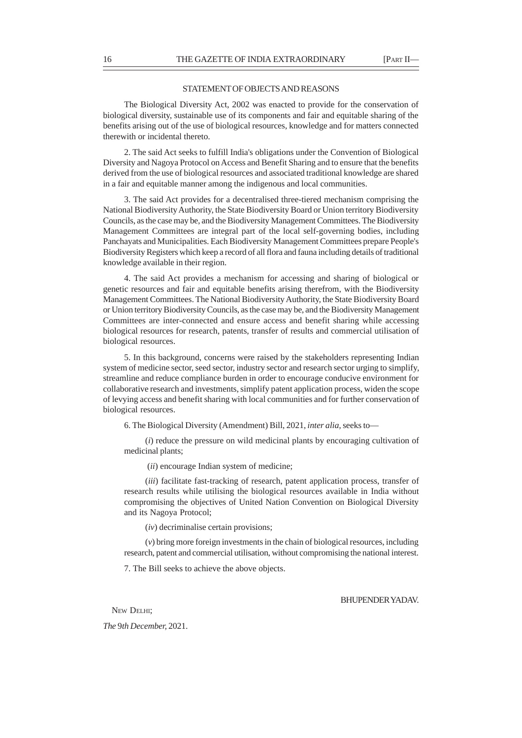### STATEMENT OF OBJECTS AND REASONS

The Biological Diversity Act, 2002 was enacted to provide for the conservation of biological diversity, sustainable use of its components and fair and equitable sharing of the benefits arising out of the use of biological resources, knowledge and for matters connected therewith or incidental thereto.

2. The said Act seeks to fulfill India's obligations under the Convention of Biological Diversity and Nagoya Protocol on Access and Benefit Sharing and to ensure that the benefits derived from the use of biological resources and associated traditional knowledge are shared in a fair and equitable manner among the indigenous and local communities.

3. The said Act provides for a decentralised three-tiered mechanism comprising the National Biodiversity Authority, the State Biodiversity Board or Union territory Biodiversity Councils, as the case may be, and the Biodiversity Management Committees. The Biodiversity Management Committees are integral part of the local self-governing bodies, including Panchayats and Municipalities. Each Biodiversity Management Committees prepare People's Biodiversity Registers which keep a record of all flora and fauna including details of traditional knowledge available in their region.

4. The said Act provides a mechanism for accessing and sharing of biological or genetic resources and fair and equitable benefits arising therefrom, with the Biodiversity Management Committees. The National Biodiversity Authority, the State Biodiversity Board or Union territory Biodiversity Councils, as the case may be, and the Biodiversity Management Committees are inter-connected and ensure access and benefit sharing while accessing biological resources for research, patents, transfer of results and commercial utilisation of biological resources.

5. In this background, concerns were raised by the stakeholders representing Indian system of medicine sector, seed sector, industry sector and research sector urging to simplify, streamline and reduce compliance burden in order to encourage conducive environment for collaborative research and investments, simplify patent application process, widen the scope of levying access and benefit sharing with local communities and for further conservation of biological resources.

6. The Biological Diversity (Amendment) Bill, 2021, *inter alia,* seeks to—

(*i*) reduce the pressure on wild medicinal plants by encouraging cultivation of medicinal plants;

(*ii*) encourage Indian system of medicine;

(*iii*) facilitate fast-tracking of research, patent application process, transfer of research results while utilising the biological resources available in India without compromising the objectives of United Nation Convention on Biological Diversity and its Nagoya Protocol;

(*iv*) decriminalise certain provisions;

(*v*) bring more foreign investments in the chain of biological resources, including research, patent and commercial utilisation, without compromising the national interest.

7. The Bill seeks to achieve the above objects.

BHUPENDER YADAV.

NEW DELHI:

*The* 9*th December,* 2021.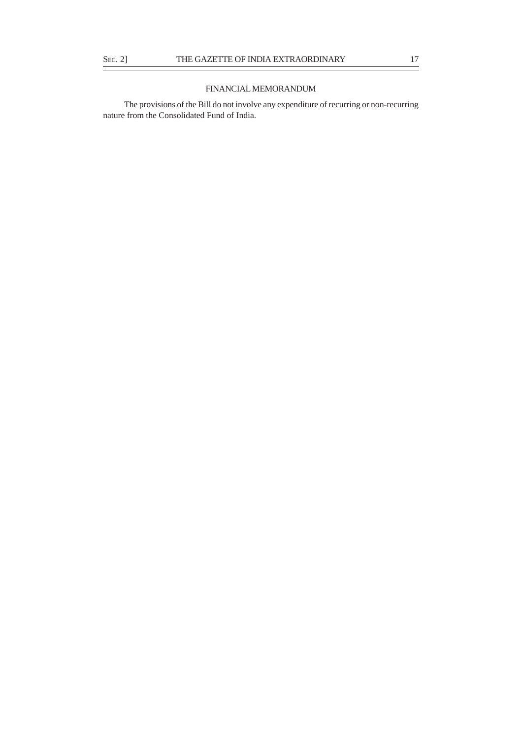## FINANCIAL MEMORANDUM

The provisions of the Bill do not involve any expenditure of recurring or non-recurring nature from the Consolidated Fund of India.